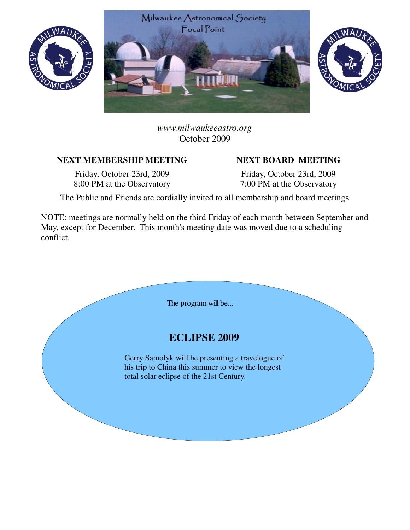





*www.milwaukeeastro.org* October 2009

## NEXT MEMBERSHIP MEETING NEXT BOARD MEETING

Friday, October 23rd, 2009 8:00 PM at the Observatory

Friday, October 23rd, 2009 7:00 PM at the Observatory

The Public and Friends are cordially invited to all membership and board meetings.

NOTE: meetings are normally held on the third Friday of each month between September and May, except for December. This month's meeting date was moved due to a scheduling conflict.

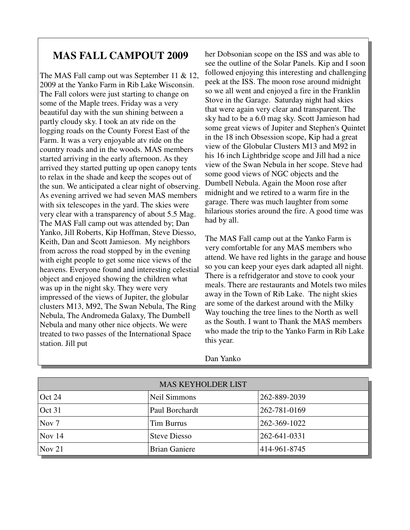## **MAS FALL CAMPOUT 2009**

The MAS Fall camp out was September 11 & 12, 2009 at the Yanko Farm in Rib Lake Wisconsin. The Fall colors were just starting to change on some of the Maple trees. Friday was a very beautiful day with the sun shining between a partly cloudy sky. I took an atv ride on the logging roads on the County Forest East of the Farm. It was a very enjoyable atv ride on the country roads and in the woods. MAS members started arriving in the early afternoon. As they arrived they started putting up open canopy tents to relax in the shade and keep the scopes out of the sun. We anticipated a clear night of observing. As evening arrived we had seven MAS members with six telescopes in the yard. The skies were very clear with a transparency of about 5.5 Mag. The MAS Fall camp out was attended by; Dan Yanko, Jill Roberts, Kip Hoffman, Steve Diesso, Keith, Dan and Scott Jamieson. My neighbors from across the road stopped by in the evening with eight people to get some nice views of the heavens. Everyone found and interesting celestial object and enjoyed showing the children what was up in the night sky. They were very impressed of the views of Jupiter, the globular clusters M13, M92, The Swan Nebula, The Ring Nebula, The Andromeda Galaxy, The Dumbell Nebula and many other nice objects. We were treated to two passes of the International Space station. Jill put

her Dobsonian scope on the ISS and was able to see the outline of the Solar Panels. Kip and I soon followed enjoying this interesting and challenging peek at the ISS. The moon rose around midnight so we all went and enjoyed a fire in the Franklin Stove in the Garage. Saturday night had skies that were again very clear and transparent. The sky had to be a 6.0 mag sky. Scott Jamieson had some great views of Jupiter and Stephen's Quintet in the 18 inch Obsession scope, Kip had a great view of the Globular Clusters M13 and M92 in his 16 inch Lightbridge scope and Jill had a nice view of the Swan Nebula in her scope. Steve had some good views of NGC objects and the Dumbell Nebula. Again the Moon rose after midnight and we retired to a warm fire in the garage. There was much laughter from some hilarious stories around the fire. A good time was had by all.

The MAS Fall camp out at the Yanko Farm is very comfortable for any MAS members who attend. We have red lights in the garage and house so you can keep your eyes dark adapted all night. There is a refridgerator and stove to cook your meals. There are restaurants and Motels two miles away in the Town of Rib Lake. The night skies are some of the darkest around with the Milky Way touching the tree lines to the North as well as the South. I want to Thank the MAS members who made the trip to the Yanko Farm in Rib Lake this year.

| <b>MAS KEYHOLDER LIST</b> |                      |              |  |  |
|---------------------------|----------------------|--------------|--|--|
| Oct $24$                  | Neil Simmons         | 262-889-2039 |  |  |
| Oct 31                    | Paul Borchardt       | 262-781-0169 |  |  |
| Nov 7                     | <b>Tim Burrus</b>    | 262-369-1022 |  |  |
| $\sqrt{Nov} 14$           | <b>Steve Diesso</b>  | 262-641-0331 |  |  |
| $\sqrt{N}$ Nov 21         | <b>Brian Ganiere</b> | 414-961-8745 |  |  |

Dan Yanko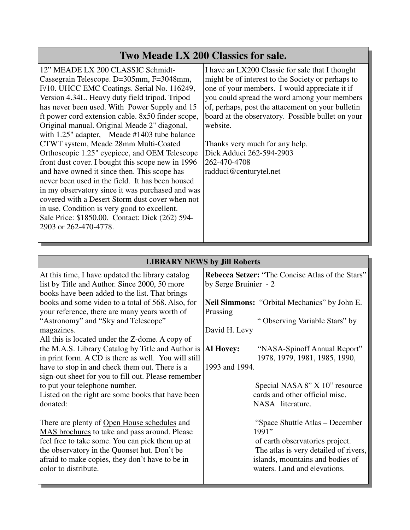## **Two Meade LX 200 Classics for sale.**

12" MEADE LX 200 CLASSIC Schmidt-Cassegrain Telescope. D=305mm, F=3048mm, F/10. UHCC EMC Coatings. Serial No. 116249, Version 4.34L. Heavy duty field tripod. Tripod has never been used. With Power Supply and 15 ft power cord extension cable. 8x50 finder scope, Original manual. Original Meade 2" diagonal, with 1.25" adapter, Meade #1403 tube balance CTWT system, Meade 28mm Multi-Coated Orthoscopic 1.25" eyepiece, and OEM Telescope front dust cover. I bought this scope new in 1996 and have owned it since then. This scope has never been used in the field. It has been housed in my observatory since it was purchased and was covered with a Desert Storm dust cover when not in use. Condition is very good to excellent. Sale Price: \$1850.00. Contact: Dick (262) 594- 2903 or 262-470-4778.

I have an LX200 Classic for sale that I thought might be of interest to the Society or perhaps to one of your members. I would appreciate it if you could spread the word among your members of, perhaps, post the attacement on your bulletin board at the observatory. Possible bullet on your website.

Thanks very much for any help. Dick Adduci 262-594-2903 262-470-4708 radduci@centurytel.net

| <b>LIBRARY NEWS by Jill Roberts</b>                                                                                                                   |                                                                                      |  |  |  |
|-------------------------------------------------------------------------------------------------------------------------------------------------------|--------------------------------------------------------------------------------------|--|--|--|
| At this time, I have updated the library catalog<br>list by Title and Author. Since 2000, 50 more<br>books have been added to the list. That brings   | <b>Rebecca Setzer: "The Concise Atlas of the Stars"</b><br>by Serge Bruinier - 2     |  |  |  |
| books and some video to a total of 568. Also, for                                                                                                     | <b>Neil Simmons:</b> "Orbital Mechanics" by John E.                                  |  |  |  |
| your reference, there are many years worth of                                                                                                         | Prussing                                                                             |  |  |  |
| "Astronomy" and "Sky and Telescope"                                                                                                                   | "Observing Variable Stars" by                                                        |  |  |  |
| magazines.                                                                                                                                            | David H. Levy                                                                        |  |  |  |
| All this is located under the Z-dome. A copy of                                                                                                       | "NASA-Spinoff Annual Report"                                                         |  |  |  |
| the M.A.S. Library Catalog by Title and Author is                                                                                                     | <b>Al Hovey:</b>                                                                     |  |  |  |
| in print form. A CD is there as well. You will still                                                                                                  | 1978, 1979, 1981, 1985, 1990,                                                        |  |  |  |
| have to stop in and check them out. There is a                                                                                                        | 1993 and 1994.                                                                       |  |  |  |
| sign-out sheet for you to fill out. Please remember<br>to put your telephone number.<br>Listed on the right are some books that have been<br>donated: | Special NASA 8" X 10" resource<br>cards and other official misc.<br>NASA literature. |  |  |  |
| There are plenty of Open House schedules and                                                                                                          | "Space Shuttle Atlas – December"                                                     |  |  |  |
| <b>MAS</b> brochures to take and pass around. Please                                                                                                  | 1991"                                                                                |  |  |  |
| feel free to take some. You can pick them up at                                                                                                       | of earth observatories project.                                                      |  |  |  |
| the observatory in the Quonset hut. Don't be                                                                                                          | The atlas is very detailed of rivers,                                                |  |  |  |
| afraid to make copies, they don't have to be in                                                                                                       | islands, mountains and bodies of                                                     |  |  |  |
| color to distribute.                                                                                                                                  | waters. Land and elevations.                                                         |  |  |  |